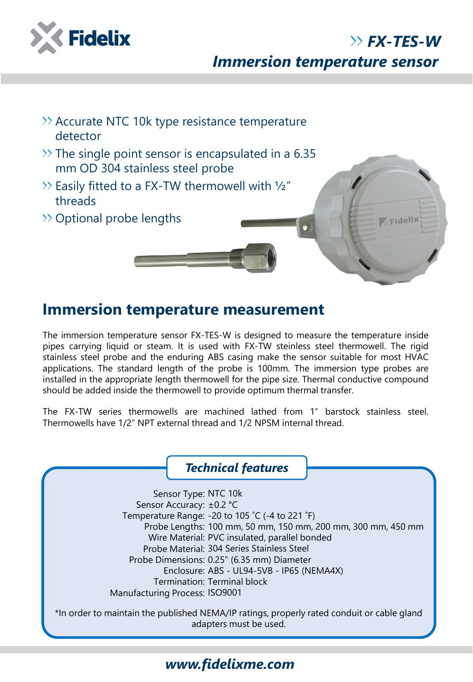

*Immersion temperature sensor*

*FX-TES-W*



## **Immersion temperature measurement**

The immersion temperature sensor FX-TES-W is designed to measure the temperature inside pipes carrying liquid or steam. It is used with FX-TW steinless steel thermowell. The rigid stainless steel probe and the enduring ABS casing make the sensor suitable for most HVAC applications. The standard length of the probe is 100mm. The immersion type probes are installed in the appropriate length thermowell for the pipe size. Thermal conductive compound should be added inside the thermowell to provide optimum thermal transfer.

The FX-TW series thermowells are machined lathed from 1″ barstock stainless steel. Thermowells have 1/2″ NPT external thread and 1/2 NPSM internal thread.

\*In order to maintain the published NEMA/IP ratings, properly rated conduit or cable gland adapters must be used. *Technical features* Sensor Type: NTC 10k Sensor Accuracy: ±0.2 °C Temperature Range: -20 to 105 ˚C (-4 to 221 ˚F) Probe Lengths: 100 mm, 50 mm, 150 mm, 200 mm, 300 mm, 450 mm Wire Material: PVC insulated, parallel bonded Probe Material: 304 Series Stainless Steel Probe Dimensions: 0.25" (6.35 mm) Diameter Enclosure: ABS - UL94-5VB - IP65 (NEMA4X) Termination: Terminal block Manufacturing Process: ISO9001

## *www.fidelixme.com*